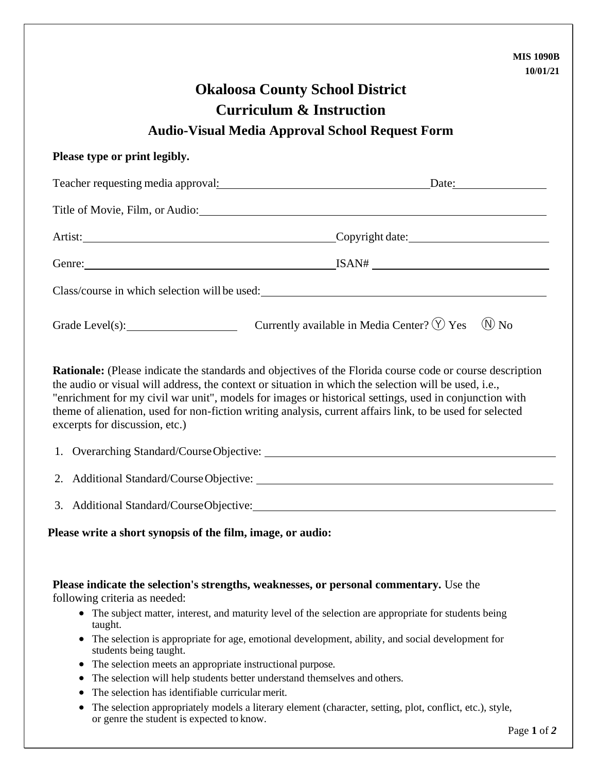|                                                                                                                                                                                                  | <b>MIS 1090B</b>                                                                                                                                                                                                                                                                                                                                                                                                                                 |
|--------------------------------------------------------------------------------------------------------------------------------------------------------------------------------------------------|--------------------------------------------------------------------------------------------------------------------------------------------------------------------------------------------------------------------------------------------------------------------------------------------------------------------------------------------------------------------------------------------------------------------------------------------------|
|                                                                                                                                                                                                  | 10/01/21                                                                                                                                                                                                                                                                                                                                                                                                                                         |
|                                                                                                                                                                                                  | <b>Okaloosa County School District</b>                                                                                                                                                                                                                                                                                                                                                                                                           |
|                                                                                                                                                                                                  | <b>Curriculum &amp; Instruction</b>                                                                                                                                                                                                                                                                                                                                                                                                              |
|                                                                                                                                                                                                  | <b>Audio-Visual Media Approval School Request Form</b>                                                                                                                                                                                                                                                                                                                                                                                           |
| Please type or print legibly.                                                                                                                                                                    |                                                                                                                                                                                                                                                                                                                                                                                                                                                  |
|                                                                                                                                                                                                  | Teacher requesting media approval: Date: Date:                                                                                                                                                                                                                                                                                                                                                                                                   |
|                                                                                                                                                                                                  |                                                                                                                                                                                                                                                                                                                                                                                                                                                  |
|                                                                                                                                                                                                  | Artist: Copyright date:                                                                                                                                                                                                                                                                                                                                                                                                                          |
|                                                                                                                                                                                                  |                                                                                                                                                                                                                                                                                                                                                                                                                                                  |
|                                                                                                                                                                                                  | Class/course in which selection will be used:                                                                                                                                                                                                                                                                                                                                                                                                    |
|                                                                                                                                                                                                  | Grade Level(s): Currently available in Media Center? $\circled{y}$ Yes<br>$(N)$ No                                                                                                                                                                                                                                                                                                                                                               |
| excerpts for discussion, etc.)                                                                                                                                                                   | <b>Rationale:</b> (Please indicate the standards and objectives of the Florida course code or course description<br>the audio or visual will address, the context or situation in which the selection will be used, i.e.,<br>"enrichment for my civil war unit", models for images or historical settings, used in conjunction with<br>theme of alienation, used for non-fiction writing analysis, current affairs link, to be used for selected |
|                                                                                                                                                                                                  |                                                                                                                                                                                                                                                                                                                                                                                                                                                  |
| 3. Additional Standard/CourseObjective:                                                                                                                                                          |                                                                                                                                                                                                                                                                                                                                                                                                                                                  |
| Please write a short synopsis of the film, image, or audio:                                                                                                                                      |                                                                                                                                                                                                                                                                                                                                                                                                                                                  |
| following criteria as needed:<br>taught.<br>students being taught.<br>The selection meets an appropriate instructional purpose.<br>$\bullet$<br>The selection has identifiable curricular merit. | Please indicate the selection's strengths, weaknesses, or personal commentary. Use the<br>• The subject matter, interest, and maturity level of the selection are appropriate for students being<br>• The selection is appropriate for age, emotional development, ability, and social development for<br>The selection will help students better understand themselves and others.                                                              |
| or genre the student is expected to know.                                                                                                                                                        | The selection appropriately models a literary element (character, setting, plot, conflict, etc.), style,                                                                                                                                                                                                                                                                                                                                         |